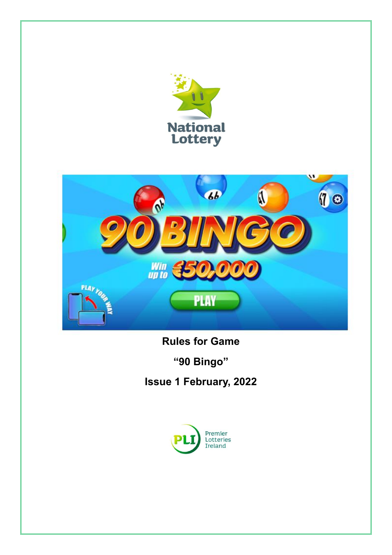



**Rules for Game**

**"90 Bingo"**

**Issue 1 February, 2022**

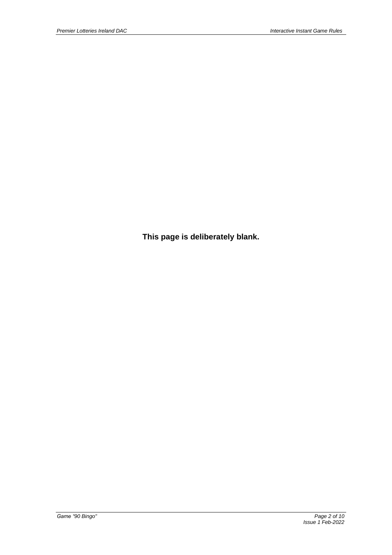**This page is deliberately blank.**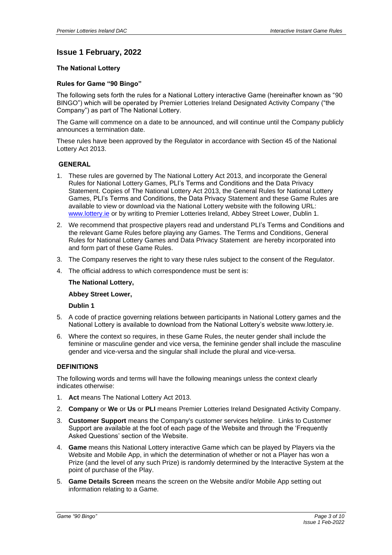# **Issue 1 February, 2022**

#### **The National Lottery**

#### **Rules for Game "90 Bingo"**

The following sets forth the rules for a National Lottery interactive Game (hereinafter known as "90 BINGO") which will be operated by Premier Lotteries Ireland Designated Activity Company ("the Company") as part of The National Lottery.

The Game will commence on a date to be announced, and will continue until the Company publicly announces a termination date.

These rules have been approved by the Regulator in accordance with Section 45 of the National Lottery Act 2013.

## **GENERAL**

- 1. These rules are governed by The National Lottery Act 2013, and incorporate the General Rules for National Lottery Games, PLI's Terms and Conditions and the Data Privacy Statement. Copies of The National Lottery Act 2013, the General Rules for National Lottery Games, PLI's Terms and Conditions, the Data Privacy Statement and these Game Rules are available to view or download via the National Lottery website with the following URL: [www.lottery.ie](http://www.lotto.ie/) or by writing to Premier Lotteries Ireland, Abbey Street Lower, Dublin 1.
- 2. We recommend that prospective players read and understand PLI's Terms and Conditions and the relevant Game Rules before playing any Games. The Terms and Conditions, General Rules for National Lottery Games and Data Privacy Statement are hereby incorporated into and form part of these Game Rules.
- 3. The Company reserves the right to vary these rules subject to the consent of the Regulator.
- 4. The official address to which correspondence must be sent is:

#### **The National Lottery,**

#### **Abbey Street Lower,**

#### **Dublin 1**

- 5. A code of practice governing relations between participants in National Lottery games and the National Lottery is available to download from the National Lottery's website www.lottery.ie.
- 6. Where the context so requires, in these Game Rules, the neuter gender shall include the feminine or masculine gender and vice versa, the feminine gender shall include the masculine gender and vice-versa and the singular shall include the plural and vice-versa.

#### **DEFINITIONS**

The following words and terms will have the following meanings unless the context clearly indicates otherwise:

- 1. **Act** means The National Lottery Act 2013.
- 2. **Company** or **We** or **Us** or **PLI** means Premier Lotteries Ireland Designated Activity Company.
- 3. **Customer Support** means the Company's customer services helpline. Links to Customer Support are available at the foot of each page of the Website and through the 'Frequently Asked Questions' section of the Website.
- 4. **Game** means this National Lottery interactive Game which can be played by Players via the Website and Mobile App, in which the determination of whether or not a Player has won a Prize (and the level of any such Prize) is randomly determined by the Interactive System at the point of purchase of the Play.
- 5. **Game Details Screen** means the screen on the Website and/or Mobile App setting out information relating to a Game.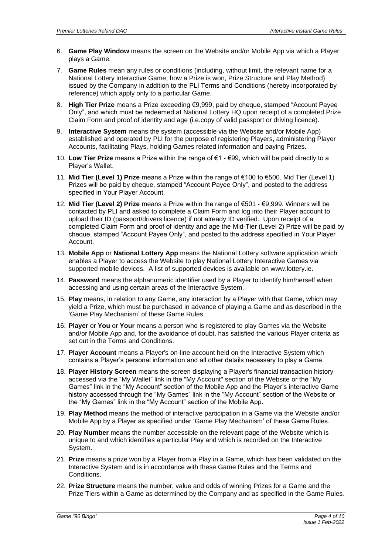- 6. **Game Play Window** means the screen on the Website and/or Mobile App via which a Player plays a Game.
- 7. **Game Rules** mean any rules or conditions (including, without limit, the relevant name for a National Lottery interactive Game, how a Prize is won, Prize Structure and Play Method) issued by the Company in addition to the PLI Terms and Conditions (hereby incorporated by reference) which apply only to a particular Game.
- 8. **High Tier Prize** means a Prize exceeding €9,999, paid by cheque, stamped "Account Payee Only", and which must be redeemed at National Lottery HQ upon receipt of a completed Prize Claim Form and proof of identity and age (i.e.copy of valid passport or driving licence).
- 9. **Interactive System** means the system (accessible via the Website and/or Mobile App) established and operated by PLI for the purpose of registering Players, administering Player Accounts, facilitating Plays, holding Games related information and paying Prizes.
- 10. **Low Tier Prize** means a Prize within the range of €1 €99, which will be paid directly to a Player's Wallet.
- 11. **Mid Tier (Level 1) Prize** means a Prize within the range of €100 to €500. Mid Tier (Level 1) Prizes will be paid by cheque, stamped "Account Payee Only", and posted to the address specified in Your Player Account.
- 12. **Mid Tier (Level 2) Prize** means a Prize within the range of €501 €9,999. Winners will be contacted by PLI and asked to complete a Claim Form and log into their Player account to upload their ID (passport/drivers licence) if not already ID verified. Upon receipt of a completed Claim Form and proof of identity and age the Mid-Tier (Level 2) Prize will be paid by cheque, stamped "Account Payee Only", and posted to the address specified in Your Player Account.
- 13. **Mobile App** or **National Lottery App** means the National Lottery software application which enables a Player to access the Website to play National Lottery Interactive Games via supported mobile devices. A list of supported devices is available on www.lottery.ie.
- 14. **Password** means the alphanumeric identifier used by a Player to identify him/herself when accessing and using certain areas of the Interactive System.
- 15. **Play** means, in relation to any Game, any interaction by a Player with that Game, which may yield a Prize, which must be purchased in advance of playing a Game and as described in the 'Game Play Mechanism' of these Game Rules.
- 16. **Player** or **You** or **Your** means a person who is registered to play Games via the Website and/or Mobile App and, for the avoidance of doubt, has satisfied the various Player criteria as set out in the Terms and Conditions.
- 17. **Player Account** means a Player's on-line account held on the Interactive System which contains a Player's personal information and all other details necessary to play a Game.
- 18. **Player History Screen** means the screen displaying a Player's financial transaction history accessed via the "My Wallet" link in the "My Account" section of the Website or the "My Games" link in the "My Account" section of the Mobile App and the Player's interactive Game history accessed through the "My Games" link in the "My Account" section of the Website or the "My Games" link in the "My Account" section of the Mobile App.
- 19. **Play Method** means the method of interactive participation in a Game via the Website and/or Mobile App by a Player as specified under 'Game Play Mechanism' of these Game Rules.
- 20. **Play Number** means the number accessible on the relevant page of the Website which is unique to and which identifies a particular Play and which is recorded on the Interactive System.
- 21. **Prize** means a prize won by a Player from a Play in a Game, which has been validated on the Interactive System and is in accordance with these Game Rules and the Terms and Conditions.
- 22. **Prize Structure** means the number, value and odds of winning Prizes for a Game and the Prize Tiers within a Game as determined by the Company and as specified in the Game Rules.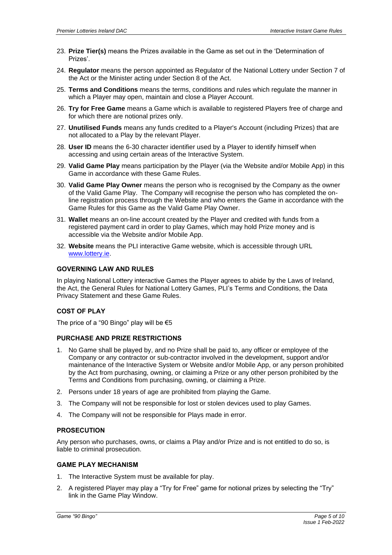- 23. **Prize Tier(s)** means the Prizes available in the Game as set out in the 'Determination of Prizes'.
- 24. **Regulator** means the person appointed as Regulator of the National Lottery under Section 7 of the Act or the Minister acting under Section 8 of the Act.
- 25. **Terms and Conditions** means the terms, conditions and rules which regulate the manner in which a Player may open, maintain and close a Player Account.
- 26. **Try for Free Game** means a Game which is available to registered Players free of charge and for which there are notional prizes only.
- 27. **Unutilised Funds** means any funds credited to a Player's Account (including Prizes) that are not allocated to a Play by the relevant Player.
- 28. **User ID** means the 6-30 character identifier used by a Player to identify himself when accessing and using certain areas of the Interactive System.
- 29. **Valid Game Play** means participation by the Player (via the Website and/or Mobile App) in this Game in accordance with these Game Rules.
- 30. **Valid Game Play Owner** means the person who is recognised by the Company as the owner of the Valid Game Play. The Company will recognise the person who has completed the online registration process through the Website and who enters the Game in accordance with the Game Rules for this Game as the Valid Game Play Owner.
- 31. **Wallet** means an on-line account created by the Player and credited with funds from a registered payment card in order to play Games, which may hold Prize money and is accessible via the Website and/or Mobile App.
- 32. **Website** means the PLI interactive Game website, which is accessible through URL www.lottery.ie.

#### **GOVERNING LAW AND RULES**

In playing National Lottery interactive Games the Player agrees to abide by the Laws of Ireland, the Act, the General Rules for National Lottery Games, PLI's Terms and Conditions, the Data Privacy Statement and these Game Rules.

#### **COST OF PLAY**

The price of a "90 Bingo" play will be €5

#### **PURCHASE AND PRIZE RESTRICTIONS**

- 1. No Game shall be played by, and no Prize shall be paid to, any officer or employee of the Company or any contractor or sub-contractor involved in the development, support and/or maintenance of the Interactive System or Website and/or Mobile App, or any person prohibited by the Act from purchasing, owning, or claiming a Prize or any other person prohibited by the Terms and Conditions from purchasing, owning, or claiming a Prize.
- 2. Persons under 18 years of age are prohibited from playing the Game.
- 3. The Company will not be responsible for lost or stolen devices used to play Games.
- 4. The Company will not be responsible for Plays made in error.

#### **PROSECUTION**

Any person who purchases, owns, or claims a Play and/or Prize and is not entitled to do so, is liable to criminal prosecution.

#### **GAME PLAY MECHANISM**

- 1. The Interactive System must be available for play.
- 2. A registered Player may play a "Try for Free" game for notional prizes by selecting the "Try" link in the Game Play Window.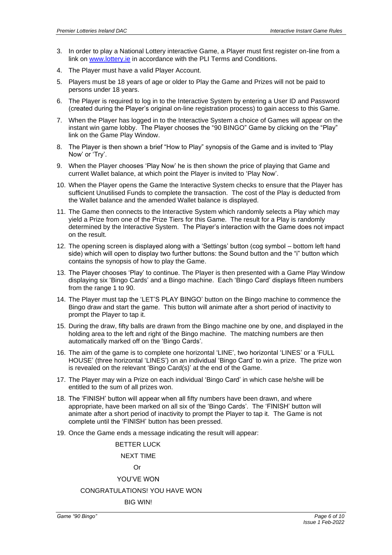- 3. In order to play a National Lottery interactive Game, a Player must first register on-line from a link on [www.lottery.ie](http://www.lotto.ie/) in accordance with the PLI Terms and Conditions.
- 4. The Player must have a valid Player Account.
- 5. Players must be 18 years of age or older to Play the Game and Prizes will not be paid to persons under 18 years.
- 6. The Player is required to log in to the Interactive System by entering a User ID and Password (created during the Player's original on-line registration process) to gain access to this Game.
- 7. When the Player has logged in to the Interactive System a choice of Games will appear on the instant win game lobby. The Player chooses the "90 BINGO" Game by clicking on the "Play" link on the Game Play Window.
- 8. The Player is then shown a brief "How to Play" synopsis of the Game and is invited to 'Play Now' or 'Try'.
- 9. When the Player chooses 'Play Now' he is then shown the price of playing that Game and current Wallet balance, at which point the Player is invited to 'Play Now'.
- 10. When the Player opens the Game the Interactive System checks to ensure that the Player has sufficient Unutilised Funds to complete the transaction. The cost of the Play is deducted from the Wallet balance and the amended Wallet balance is displayed.
- 11. The Game then connects to the Interactive System which randomly selects a Play which may yield a Prize from one of the Prize Tiers for this Game. The result for a Play is randomly determined by the Interactive System. The Player's interaction with the Game does not impact on the result.
- 12. The opening screen is displayed along with a 'Settings' button (cog symbol bottom left hand side) which will open to display two further buttons: the Sound button and the "i" button which contains the synopsis of how to play the Game.
- 13. The Player chooses 'Play' to continue. The Player is then presented with a Game Play Window displaying six 'Bingo Cards' and a Bingo machine. Each 'Bingo Card' displays fifteen numbers from the range 1 to 90.
- 14. The Player must tap the 'LET'S PLAY BINGO' button on the Bingo machine to commence the Bingo draw and start the game. This button will animate after a short period of inactivity to prompt the Player to tap it.
- 15. During the draw, fifty balls are drawn from the Bingo machine one by one, and displayed in the holding area to the left and right of the Bingo machine. The matching numbers are then automatically marked off on the 'Bingo Cards'.
- 16. The aim of the game is to complete one horizontal 'LINE', two horizontal 'LINES' or a 'FULL HOUSE' (three horizontal 'LINES') on an individual 'Bingo Card' to win a prize. The prize won is revealed on the relevant 'Bingo Card(s)' at the end of the Game.
- 17. The Player may win a Prize on each individual 'Bingo Card' in which case he/she will be entitled to the sum of all prizes won.
- 18. The 'FINISH' button will appear when all fifty numbers have been drawn, and where appropriate, have been marked on all six of the 'Bingo Cards'. The 'FINISH' button will animate after a short period of inactivity to prompt the Player to tap it. The Game is not complete until the 'FINISH' button has been pressed.
- 19. Once the Game ends a message indicating the result will appear:

 BETTER LUCK NEXT TIME **Original** Control of the Control of the Control of the Control of the Control of the Control of the Control of the Control of the Control of the Control of the Control of the Control of the Control of the Control of the C YOU'VE WON CONGRATULATIONS! YOU HAVE WON BIG WIN!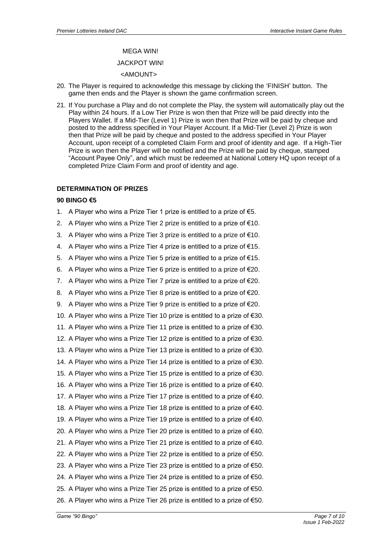# MEGA WIN! JACKPOT WIN! <AMOUNT>

- 20. The Player is required to acknowledge this message by clicking the 'FINISH' button. The game then ends and the Player is shown the game confirmation screen.
- 21. If You purchase a Play and do not complete the Play, the system will automatically play out the Play within 24 hours. If a Low Tier Prize is won then that Prize will be paid directly into the Players Wallet. If a Mid-Tier (Level 1) Prize is won then that Prize will be paid by cheque and posted to the address specified in Your Player Account. If a Mid-Tier (Level 2) Prize is won then that Prize will be paid by cheque and posted to the address specified in Your Player Account, upon receipt of a completed Claim Form and proof of identity and age. If a High-Tier Prize is won then the Player will be notified and the Prize will be paid by cheque, stamped "Account Payee Only", and which must be redeemed at National Lottery HQ upon receipt of a completed Prize Claim Form and proof of identity and age.

# **DETERMINATION OF PRIZES**

#### **90 BINGO €5**

- 1. A Player who wins a Prize Tier 1 prize is entitled to a prize of  $65$ .
- 2. A Player who wins a Prize Tier 2 prize is entitled to a prize of  $\epsilon$ 10.
- 3. A Player who wins a Prize Tier 3 prize is entitled to a prize of €10.
- 4. A Player who wins a Prize Tier 4 prize is entitled to a prize of €15.
- 5. A Player who wins a Prize Tier 5 prize is entitled to a prize of €15.
- 6. A Player who wins a Prize Tier 6 prize is entitled to a prize of  $\epsilon$ 20.
- 7. A Player who wins a Prize Tier 7 prize is entitled to a prize of  $\epsilon$ 20.
- 8. A Player who wins a Prize Tier 8 prize is entitled to a prize of  $\epsilon$ 20.
- 9. A Player who wins a Prize Tier 9 prize is entitled to a prize of €20.
- 10. A Player who wins a Prize Tier 10 prize is entitled to a prize of €30.
- 11. A Player who wins a Prize Tier 11 prize is entitled to a prize of €30.
- 12. A Player who wins a Prize Tier 12 prize is entitled to a prize of €30.
- 13. A Player who wins a Prize Tier 13 prize is entitled to a prize of €30.
- 14. A Player who wins a Prize Tier 14 prize is entitled to a prize of €30.
- 15. A Player who wins a Prize Tier 15 prize is entitled to a prize of €30.
- 16. A Player who wins a Prize Tier 16 prize is entitled to a prize of €40.
- 17. A Player who wins a Prize Tier 17 prize is entitled to a prize of €40.
- 18. A Player who wins a Prize Tier 18 prize is entitled to a prize of €40.
- 19. A Player who wins a Prize Tier 19 prize is entitled to a prize of €40.
- 20. A Player who wins a Prize Tier 20 prize is entitled to a prize of €40.
- 21. A Player who wins a Prize Tier 21 prize is entitled to a prize of €40.
- 22. A Player who wins a Prize Tier 22 prize is entitled to a prize of €50.
- 23. A Player who wins a Prize Tier 23 prize is entitled to a prize of €50.
- 24. A Player who wins a Prize Tier 24 prize is entitled to a prize of €50.
- 25. A Player who wins a Prize Tier 25 prize is entitled to a prize of €50.
- 26. A Player who wins a Prize Tier 26 prize is entitled to a prize of €50.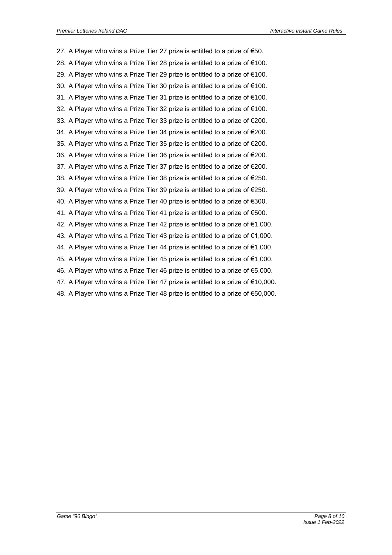27. A Player who wins a Prize Tier 27 prize is entitled to a prize of €50. 28. A Player who wins a Prize Tier 28 prize is entitled to a prize of €100. 29. A Player who wins a Prize Tier 29 prize is entitled to a prize of €100. 30. A Player who wins a Prize Tier 30 prize is entitled to a prize of €100. 31. A Player who wins a Prize Tier 31 prize is entitled to a prize of €100. 32. A Player who wins a Prize Tier 32 prize is entitled to a prize of €100. 33. A Player who wins a Prize Tier 33 prize is entitled to a prize of €200. 34. A Player who wins a Prize Tier 34 prize is entitled to a prize of €200. 35. A Player who wins a Prize Tier 35 prize is entitled to a prize of €200. 36. A Player who wins a Prize Tier 36 prize is entitled to a prize of €200. 37. A Player who wins a Prize Tier 37 prize is entitled to a prize of €200. 38. A Player who wins a Prize Tier 38 prize is entitled to a prize of €250. 39. A Player who wins a Prize Tier 39 prize is entitled to a prize of €250. 40. A Player who wins a Prize Tier 40 prize is entitled to a prize of €300. 41. A Player who wins a Prize Tier 41 prize is entitled to a prize of €500. 42. A Player who wins a Prize Tier 42 prize is entitled to a prize of €1,000. 43. A Player who wins a Prize Tier 43 prize is entitled to a prize of €1,000. 44. A Player who wins a Prize Tier 44 prize is entitled to a prize of €1,000. 45. A Player who wins a Prize Tier 45 prize is entitled to a prize of €1,000. 46. A Player who wins a Prize Tier 46 prize is entitled to a prize of €5,000. 47. A Player who wins a Prize Tier 47 prize is entitled to a prize of €10,000. 48. A Player who wins a Prize Tier 48 prize is entitled to a prize of €50,000.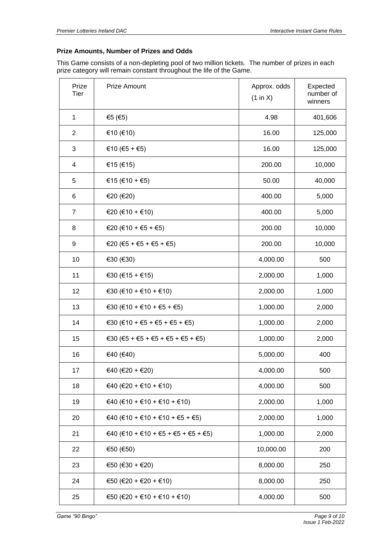#### **Prize Amounts, Number of Prizes and Odds**

This Game consists of a non-depleting pool of two million tickets. The number of prizes in each prize category will remain constant throughout the life of the Game.

| Prize<br>Tier  | <b>Prize Amount</b>                 | Approx. odds<br>$(1 \text{ in } X)$ | Expected<br>number of<br>winners |
|----------------|-------------------------------------|-------------------------------------|----------------------------------|
| $\mathbf{1}$   | €5 (€5)                             | 4.98                                | 401,606                          |
| $\overline{c}$ | €10 (€10)                           | 16.00                               | 125,000                          |
| 3              | €10 (€5 + €5)                       | 16.00                               | 125,000                          |
| 4              | €15 (€15)                           | 200.00                              | 10,000                           |
| 5              | €15 (€10 + €5)                      | 50.00                               | 40,000                           |
| 6              | €20 (€20)                           | 400.00                              | 5,000                            |
| $\overline{7}$ | €20 (€10 + €10)                     | 400.00                              | 5,000                            |
| 8              | €20 (€10 + €5 + €5)                 | 200.00                              | 10,000                           |
| 9              | €20 (€5 + €5 + €5 + €5)             | 200.00                              | 10,000                           |
| 10             | €30 (€30)                           | 4,000.00                            | 500                              |
| 11             | €30 (€15 + €15)                     | 2,000.00                            | 1,000                            |
| 12             | €30 (€10 + €10 + €10)               | 2,000.00                            | 1,000                            |
| 13             | €30 (€10 + €10 + €5 + €5)           | 1,000.00                            | 2,000                            |
| 14             | €30 (€10 + €5 + €5 + €5 + €5)       | 1,000.00                            | 2,000                            |
| 15             | €30 (€5 + €5 + €5 + €5 + €5 + €5)   | 1,000.00                            | 2,000                            |
| 16             | €40 $(€40)$                         | 5,000.00                            | 400                              |
| 17             | €40 (€20 + €20)                     | 4,000.00                            | 500                              |
| 18             | €40 (€20 + €10 + €10)               | 4,000.00                            | 500                              |
| 19             | €40 (€10 + €10 + €10 + €10)         | 2,000.00                            | 1,000                            |
| 20             | €40 (€10 + €10 + €10 + €5 + €5)     | 2,000.00                            | 1,000                            |
| 21             | €40 (€10 + €10 + €5 + €5 + €5 + €5) | 1,000.00                            | 2,000                            |
| 22             | €50 (€50)                           | 10,000.00                           | 200                              |
| 23             | €50 (€30 + €20)                     | 8,000.00                            | 250                              |
| 24             | €50 (€20 + €20 + €10)               | 8,000.00                            | 250                              |
| 25             | €50 (€20 + €10 + €10 + €10)         | 4,000.00                            | 500                              |